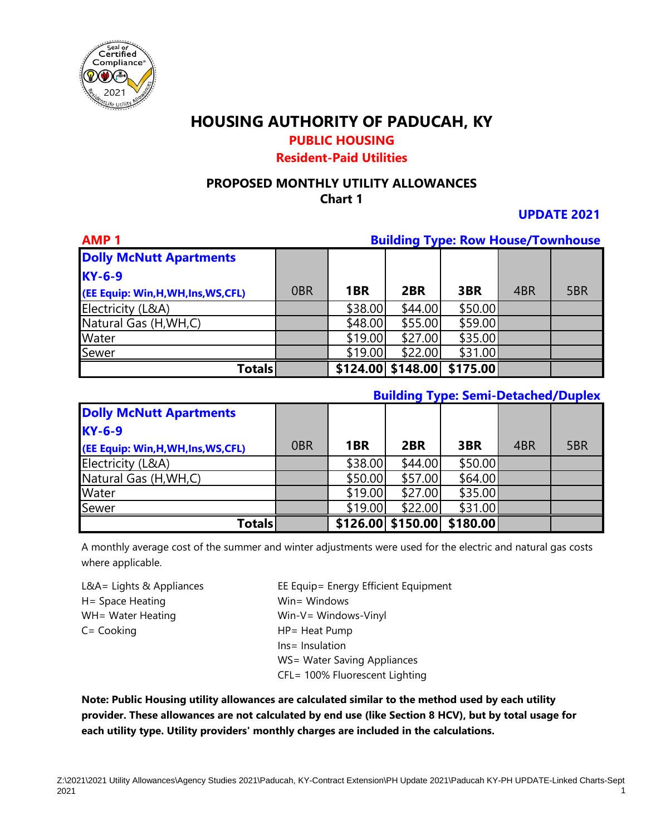

## **PUBLIC HOUSING**

#### **Resident-Paid Utilities**

#### **PROPOSED MONTHLY UTILITY ALLOWANCES Chart 1**

**UPDATE 2021**

| <b>AMP1</b>                          | <b>Building Type: Row House/Townhouse</b> |         |                        |          |     |     |
|--------------------------------------|-------------------------------------------|---------|------------------------|----------|-----|-----|
| <b>Dolly McNutt Apartments</b>       |                                           |         |                        |          |     |     |
| <b>KY-6-9</b>                        |                                           |         |                        |          |     |     |
| (EE Equip: Win, H, WH, Ins, WS, CFL) | 0 <sub>BR</sub>                           | 1BR     | 2BR                    | 3BR      | 4BR | 5BR |
| Electricity (L&A)                    |                                           | \$38.00 | \$44.00                | \$50.00  |     |     |
| Natural Gas (H, WH, C)               |                                           | \$48.00 | \$55.00                | \$59.00  |     |     |
| <b>Water</b>                         |                                           | \$19.00 | \$27.00                | \$35.00  |     |     |
| Sewer                                |                                           | \$19.00 | \$22.00                | \$31.00  |     |     |
| <b>Totals</b>                        |                                           |         | $$124.00 \mid $148.00$ | \$175.00 |     |     |

#### **Building Type: Semi-Detached/Duplex**

| <b>Dolly McNutt Apartments</b>       |                 |         |                        |          |     |     |
|--------------------------------------|-----------------|---------|------------------------|----------|-----|-----|
| $KY-6-9$                             |                 |         |                        |          |     |     |
| (EE Equip: Win, H, WH, Ins, WS, CFL) | 0 <sub>BR</sub> | 1BR     | 2BR                    | 3BR      | 4BR | 5BR |
| Electricity (L&A)                    |                 | \$38.00 | \$44.00                | \$50.00  |     |     |
| Natural Gas (H, WH, C)               |                 | \$50.00 | \$57.00                | \$64.00  |     |     |
| <b>Water</b>                         |                 | \$19.00 | \$27.00                | \$35.00  |     |     |
| Sewer                                |                 | \$19.00 | \$22.00                | \$31.00  |     |     |
| <b>Totals</b>                        |                 |         | $$126.00 \mid $150.00$ | \$180.00 |     |     |

A monthly average cost of the summer and winter adjustments were used for the electric and natural gas costs where applicable.

H = Space Heating Winter Windows WH= Water Heating Win-V= Windows-Vinyl C= Cooking The Cooking The Heat Pump

L&A= Lights & Appliances EE Equip= Energy Efficient Equipment Ins= Insulation WS= Water Saving Appliances CFL= 100% Fluorescent Lighting

**Note: Public Housing utility allowances are calculated similar to the method used by each utility provider. These allowances are not calculated by end use (like Section 8 HCV), but by total usage for each utility type. Utility providers' monthly charges are included in the calculations.**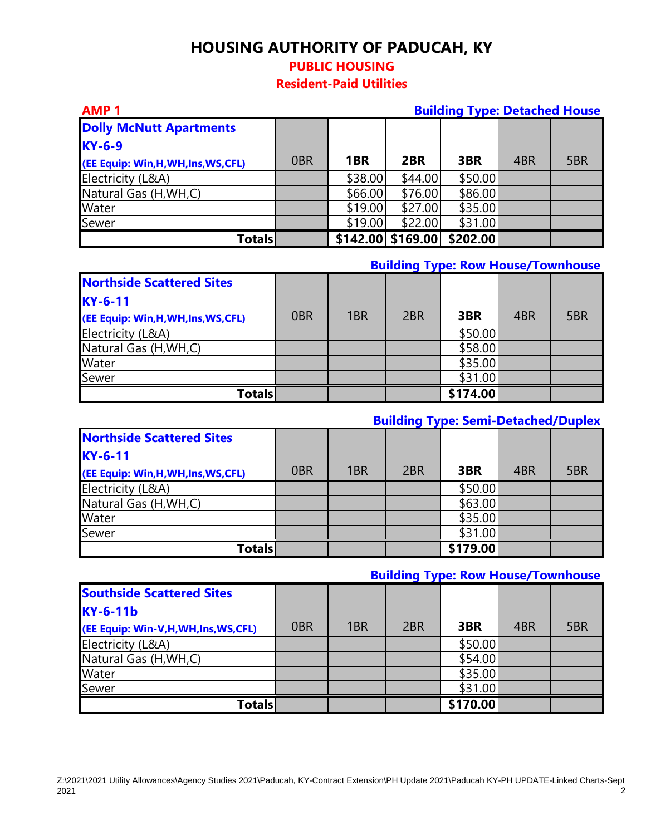### **PUBLIC HOUSING**

**Resident-Paid Utilities**

#### **AMP 1 Building Type: Detached House**

| <b>Dolly McNutt Apartments</b>       |                 |         |                   |          |     |     |
|--------------------------------------|-----------------|---------|-------------------|----------|-----|-----|
| <b>KY-6-9</b>                        |                 |         |                   |          |     |     |
| (EE Equip: Win, H, WH, Ins, WS, CFL) | 0 <sub>BR</sub> | 1BR     | 2BR               | 3BR      | 4BR | 5BR |
| Electricity (L&A)                    |                 | \$38.00 | \$44.00           | \$50.00  |     |     |
| Natural Gas (H, WH, C)               |                 | \$66.00 | \$76.00           | \$86.00  |     |     |
| Water                                |                 | \$19.00 | \$27.00           | \$35.00  |     |     |
| Sewer                                |                 | \$19.00 | \$22.00           | \$31.00  |     |     |
| Totals                               |                 |         | \$142.00 \$169.00 | \$202.00 |     |     |

#### **Building Type: Row House/Townhouse**

| <b>Northside Scattered Sites</b>     |                 |     |     |          |     |     |
|--------------------------------------|-----------------|-----|-----|----------|-----|-----|
| $KY-6-11$                            |                 |     |     |          |     |     |
| (EE Equip: Win, H, WH, Ins, WS, CFL) | 0 <sub>BR</sub> | 1BR | 2BR | 3BR      | 4BR | 5BR |
| Electricity (L&A)                    |                 |     |     | \$50.00  |     |     |
| Natural Gas (H, WH, C)               |                 |     |     | \$58.00  |     |     |
| Water                                |                 |     |     | \$35.00  |     |     |
| Sewer                                |                 |     |     | \$31.00  |     |     |
| Totals                               |                 |     |     | \$174.00 |     |     |

## **Building Type: Semi-Detached/Duplex**

| <b>Northside Scattered Sites</b>     |                 |     |                 |          |     |     |
|--------------------------------------|-----------------|-----|-----------------|----------|-----|-----|
| $KY-6-11$                            |                 |     |                 |          |     |     |
| (EE Equip: Win, H, WH, Ins, WS, CFL) | 0 <sub>BR</sub> | 1BR | 2 <sub>BR</sub> | 3BR      | 4BR | 5BR |
| Electricity (L&A)                    |                 |     |                 | \$50.00  |     |     |
| Natural Gas (H, WH, C)               |                 |     |                 | \$63.00  |     |     |
| <b>Water</b>                         |                 |     |                 | \$35.00  |     |     |
| Sewer                                |                 |     |                 | \$31.00  |     |     |
| <b>Totals</b>                        |                 |     |                 | \$179.00 |     |     |

### **Building Type: Row House/Townhouse**

| <b>Southside Scattered Sites</b>  |                 |     |     |          |     |     |
|-----------------------------------|-----------------|-----|-----|----------|-----|-----|
| <b>KY-6-11b</b>                   |                 |     |     |          |     |     |
| (EE Equip: Win-V,H,WH,Ins,WS,CFL) | 0 <sub>BR</sub> | 1BR | 2BR | 3BR      | 4BR | 5BR |
| Electricity (L&A)                 |                 |     |     | \$50.00  |     |     |
| Natural Gas (H, WH, C)            |                 |     |     | \$54.00  |     |     |
| Water                             |                 |     |     | \$35.00  |     |     |
| Sewer                             |                 |     |     | \$31.00  |     |     |
| Totals                            |                 |     |     | \$170.00 |     |     |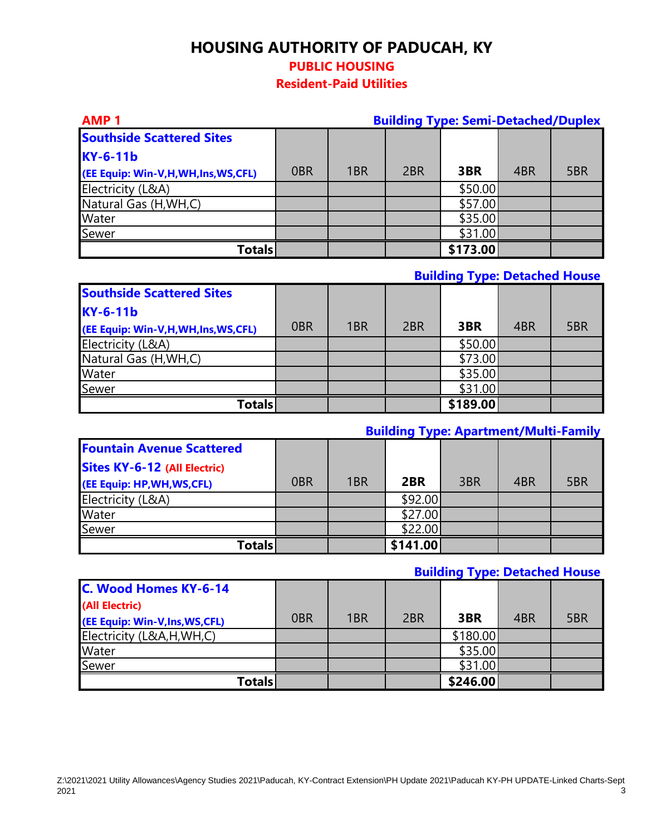## **PUBLIC HOUSING**

**Resident-Paid Utilities**

| <b>AMP1</b><br><b>Building Type: Semi-Detached/Duplex</b> |                 |                 |                 |          |     |     |
|-----------------------------------------------------------|-----------------|-----------------|-----------------|----------|-----|-----|
| <b>Southside Scattered Sites</b>                          |                 |                 |                 |          |     |     |
| <b>KY-6-11b</b>                                           |                 |                 |                 |          |     |     |
| (EE Equip: Win-V,H,WH,Ins,WS,CFL)                         | 0 <sub>BR</sub> | 1 <sub>BR</sub> | 2 <sub>BR</sub> | 3BR      | 4BR | 5BR |
| Electricity (L&A)                                         |                 |                 |                 | \$50.00  |     |     |
| Natural Gas (H, WH, C)                                    |                 |                 |                 | \$57.00  |     |     |
| Water                                                     |                 |                 |                 | \$35.00  |     |     |
| Sewer                                                     |                 |                 |                 | \$31.00  |     |     |
| <b>Totals</b>                                             |                 |                 |                 | \$173.00 |     |     |

#### **Building Type: Detached House**

| <b>Southside Scattered Sites</b>  |                 |     |     |          |     |     |
|-----------------------------------|-----------------|-----|-----|----------|-----|-----|
| <b>KY-6-11b</b>                   |                 |     |     |          |     |     |
| (EE Equip: Win-V,H,WH,Ins,WS,CFL) | 0 <sub>BR</sub> | 1BR | 2BR | 3BR      | 4BR | 5BR |
| Electricity (L&A)                 |                 |     |     | \$50.00  |     |     |
| Natural Gas (H, WH, C)            |                 |     |     | \$73.00  |     |     |
| Water                             |                 |     |     | \$35.00  |     |     |
| Sewer                             |                 |     |     | \$31.00  |     |     |
| <b>Totals</b>                     |                 |     |     | \$189.00 |     |     |

## **Building Type: Apartment/Multi-Family**

| <b>Fountain Avenue Scattered</b>    |                 |     |          |     |     |     |
|-------------------------------------|-----------------|-----|----------|-----|-----|-----|
| <b>Sites KY-6-12 (All Electric)</b> |                 |     |          |     |     |     |
| (EE Equip: HP, WH, WS, CFL)         | 0 <sub>BR</sub> | 1BR | 2BR      | 3BR | 4BR | 5BR |
| Electricity (L&A)                   |                 |     | \$92.00  |     |     |     |
| <b>Water</b>                        |                 |     | \$27.00  |     |     |     |
| Sewer                               |                 |     | \$22.00  |     |     |     |
| Totals                              |                 |     | \$141.00 |     |     |     |

### **Building Type: Detached House**

| C. Wood Homes KY-6-14           |                 |     |     |          |     |     |
|---------------------------------|-----------------|-----|-----|----------|-----|-----|
| (All Electric)                  |                 |     |     |          |     |     |
| (EE Equip: Win-V, Ins, WS, CFL) | 0 <sub>BR</sub> | 1BR | 2BR | 3BR      | 4BR | 5BR |
| Electricity (L&A,H,WH,C)        |                 |     |     | \$180.00 |     |     |
| Water                           |                 |     |     | \$35.00  |     |     |
| Sewer                           |                 |     |     | \$31.00  |     |     |
| <b>Totals</b>                   |                 |     |     | \$246.00 |     |     |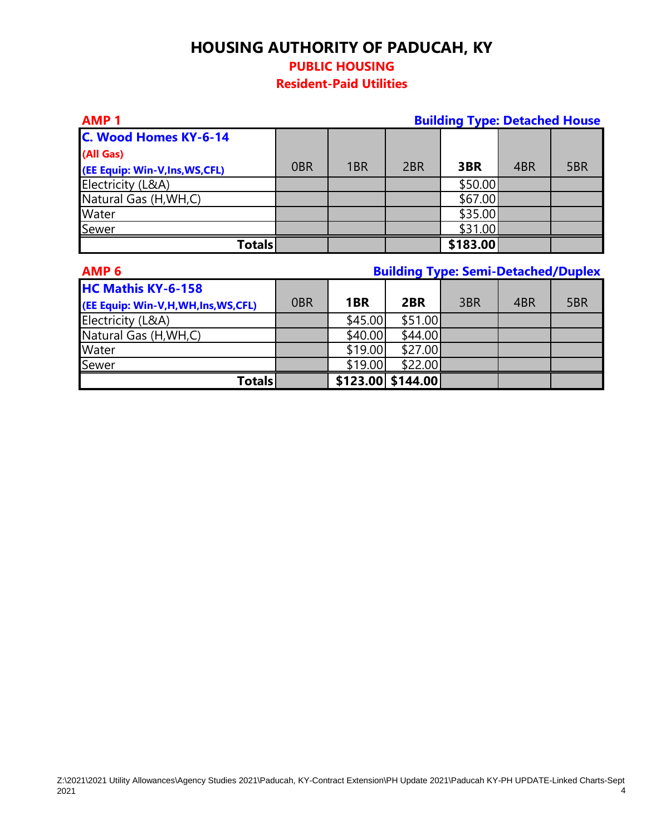# **HOUSING AUTHORITY OF PADUCAH, KY PUBLIC HOUSING**

## **Resident-Paid Utilities**

| <b>AMP1</b>                     | <b>Building Type: Detached House</b> |                 |                 |          |     |     |
|---------------------------------|--------------------------------------|-----------------|-----------------|----------|-----|-----|
| C. Wood Homes KY-6-14           |                                      |                 |                 |          |     |     |
| (All Gas)                       |                                      |                 |                 |          |     |     |
| (EE Equip: Win-V, Ins, WS, CFL) | 0 <sub>BR</sub>                      | 1 <sub>BR</sub> | 2 <sub>BR</sub> | 3BR      | 4BR | 5BR |
| Electricity (L&A)               |                                      |                 |                 | \$50.00  |     |     |
| Natural Gas (H, WH, C)          |                                      |                 |                 | \$67.00  |     |     |
| Water                           |                                      |                 |                 | \$35.00  |     |     |
| Sewer                           |                                      |                 |                 | \$31.00  |     |     |
| <b>Totals</b>                   |                                      |                 |                 | \$183.00 |     |     |

| AMP <sub>6</sub>                  | <b>Building Type: Semi-Detached/Duplex</b> |         |                   |     |     |     |
|-----------------------------------|--------------------------------------------|---------|-------------------|-----|-----|-----|
| <b>HC Mathis KY-6-158</b>         |                                            |         |                   |     |     |     |
| (EE Equip: Win-V,H,WH,Ins,WS,CFL) | 0 <sub>BR</sub>                            | 1BR     | 2BR               | 3BR | 4BR | 5BR |
| Electricity (L&A)                 |                                            | \$45.00 | \$51.00           |     |     |     |
| Natural Gas (H, WH, C)            |                                            | \$40.00 | \$44.00           |     |     |     |
| Water                             |                                            | \$19.00 | \$27.00           |     |     |     |
| Sewer                             |                                            | \$19.00 | \$22.00           |     |     |     |
| <b>Totals</b>                     |                                            |         | \$123.00 \$144.00 |     |     |     |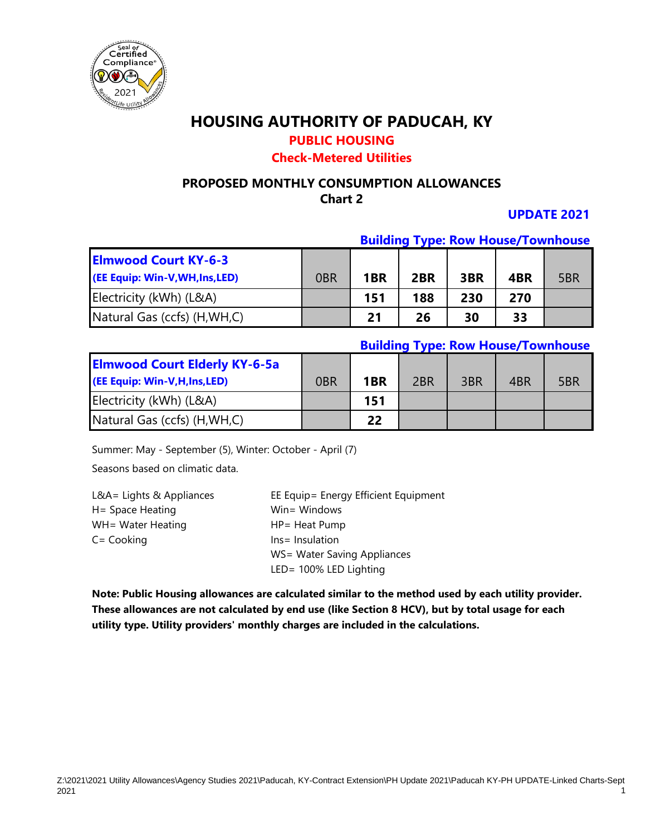

## **PUBLIC HOUSING**

### **Check-Metered Utilities**

#### **PROPOSED MONTHLY CONSUMPTION ALLOWANCES Chart 2**

### **UPDATE 2021**

#### **Building Type: Row House/Townhouse**

| <b>Elmwood Court KY-6-3</b>     |     |                 |     |     |     |     |
|---------------------------------|-----|-----------------|-----|-----|-----|-----|
| (EE Equip: Win-V, WH, Ins, LED) | 0BR | 1 <sub>BR</sub> | 2BR | 3BR | 4BR | 5BR |
| Electricity (kWh) (L&A)         |     | 151             | 188 | 230 | 270 |     |
| Natural Gas (ccfs) (H, WH, C)   |     | 21              | 26  | 30  | 33  |     |

#### **Building Type: Row House/Townhouse**

| <b>Elmwood Court Elderly KY-6-5a</b><br>(EE Equip: Win-V,H,Ins,LED) | 0 <sub>BR</sub> | 1 <sub>BR</sub> | 2 <sub>BR</sub> | 3BR | 4BR | 5BR |
|---------------------------------------------------------------------|-----------------|-----------------|-----------------|-----|-----|-----|
| Electricity (kWh) (L&A)                                             |                 | 151             |                 |     |     |     |
| Natural Gas (ccfs) (H, WH, C)                                       |                 | 22              |                 |     |     |     |

Summer: May - September (5), Winter: October - April (7)

Seasons based on climatic data.

| $L&A =$ Lights & Appliances | EE Equip= Energy Efficient Equipment |
|-----------------------------|--------------------------------------|
| H= Space Heating            | Win= Windows                         |
| WH= Water Heating           | HP= Heat Pump                        |
| $C = \text{Cooking}$        | Ins = Insulation                     |
|                             | WS= Water Saving Appliances          |
|                             | LED= 100% LED Lighting               |

**Note: Public Housing allowances are calculated similar to the method used by each utility provider. These allowances are not calculated by end use (like Section 8 HCV), but by total usage for each utility type. Utility providers' monthly charges are included in the calculations.**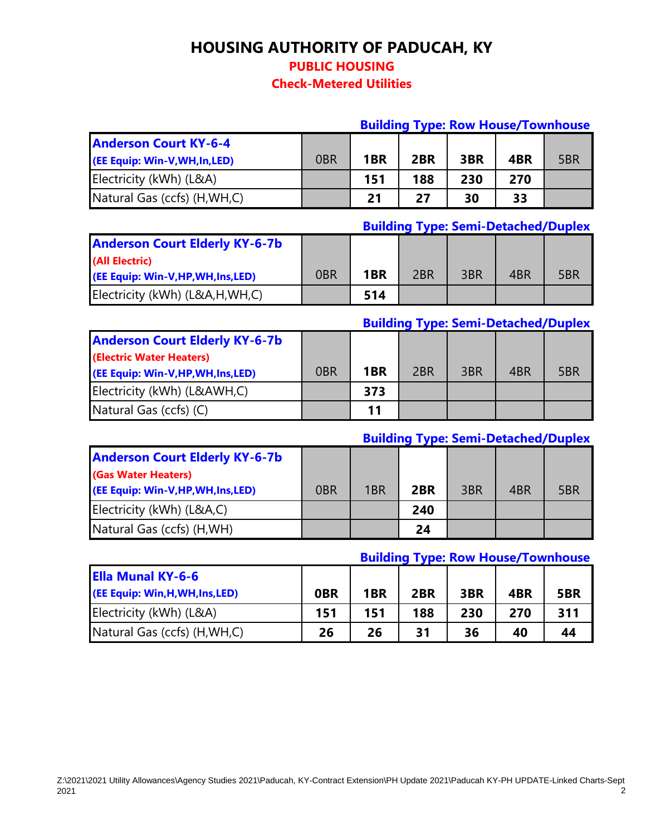**PUBLIC HOUSING**

**Check-Metered Utilities**

|                                |                 |                 | <b>Building Type: Row House/Townhouse</b> |     |     |     |
|--------------------------------|-----------------|-----------------|-------------------------------------------|-----|-----|-----|
| <b>Anderson Court KY-6-4</b>   |                 |                 |                                           |     |     |     |
| (EE Equip: Win-V, WH, In, LED) | 0 <sub>BR</sub> | 1 <sub>BR</sub> | 2BR                                       | 3BR | 4BR | 5BR |
| Electricity (kWh) (L&A)        |                 | 151             | 188                                       | 230 | 270 |     |
| Natural Gas (ccfs) (H, WH, C)  |                 | 21              | 27                                        | 30  | 33  |     |

### **Building Type: Semi-Detached/Duplex**

**Building Type: Semi-Detached/Duplex**

| <b>Anderson Court Elderly KY-6-7b</b> |     |                 |                 |     |     |     |
|---------------------------------------|-----|-----------------|-----------------|-----|-----|-----|
| (All Electric)                        |     |                 |                 |     |     |     |
| (EE Equip: Win-V, HP, WH, Ins, LED)   | 0BR | 1 <sub>BR</sub> | 2 <sub>BR</sub> | 3BR | 4BR | 5BR |
| Electricity (kWh) (L&A,H,WH,C)        |     | 514             |                 |     |     |     |

|                                       |                 |                 | <b>DUTIONAL TANGE SCILL-DETAILED DUPLER</b> |     |     |     |
|---------------------------------------|-----------------|-----------------|---------------------------------------------|-----|-----|-----|
| <b>Anderson Court Elderly KY-6-7b</b> |                 |                 |                                             |     |     |     |
| (Electric Water Heaters)              |                 |                 |                                             |     |     |     |
| (EE Equip: Win-V, HP, WH, Ins, LED)   | 0 <sub>BR</sub> | 1 <sub>BR</sub> | 2 <sub>BR</sub>                             | 3BR | 4BR | 5BR |
| Electricity (kWh) (L&AWH,C)           |                 | 373             |                                             |     |     |     |
| Natural Gas (ccfs) (C)                |                 | 11              |                                             |     |     |     |

|                                       |                 |                 |     | <b>Building Type: Semi-Detached/Duplex</b> |     |     |
|---------------------------------------|-----------------|-----------------|-----|--------------------------------------------|-----|-----|
| <b>Anderson Court Elderly KY-6-7b</b> |                 |                 |     |                                            |     |     |
| (Gas Water Heaters)                   |                 |                 |     |                                            |     |     |
| (EE Equip: Win-V,HP,WH,Ins,LED)       | 0 <sub>BR</sub> | 1 <sub>BR</sub> | 2BR | 3BR                                        | 4BR | 5BR |
| Electricity (kWh) (L&A,C)             |                 |                 | 240 |                                            |     |     |
| Natural Gas (ccfs) (H, WH)            |                 |                 | 24  |                                            |     |     |

### **Building Type: Row House/Townhouse**

| <b>Ella Munal KY-6-6</b>         |            |                 |     |     |     |     |
|----------------------------------|------------|-----------------|-----|-----|-----|-----|
| (EE Equip: Win, H, WH, Ins, LED) | <b>OBR</b> | 1 <sub>BR</sub> | 2BR | 3BR | 4BR | 5BR |
| Electricity (kWh) (L&A)          | 151        | 151             | 188 | 230 | 270 | 311 |
| Natural Gas (ccfs) (H, WH, C)    | 26         | 26              | 31  | 36  | 40  | 44  |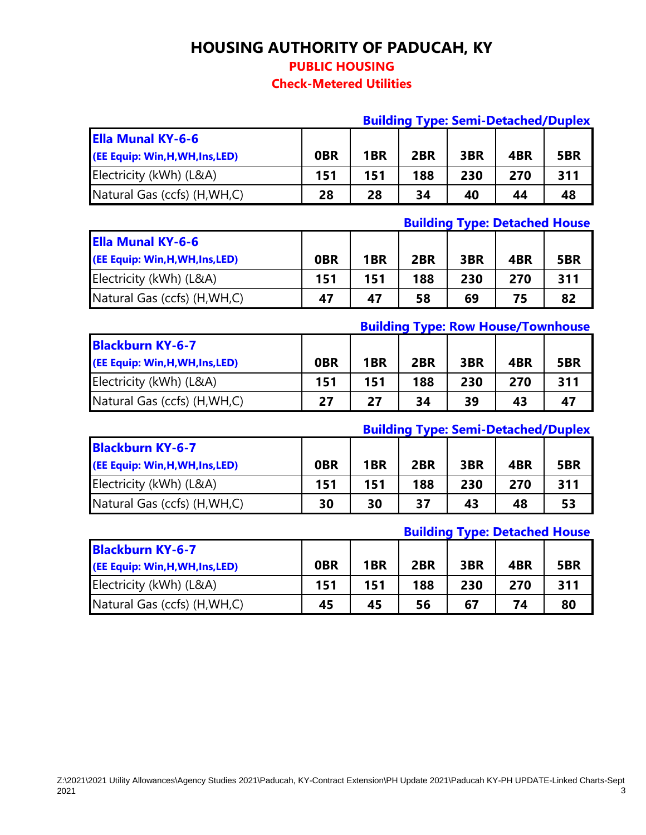**PUBLIC HOUSING**

**Check-Metered Utilities**

|                                                              |                 |                 |     |     |     | <b>Building Type: Semi-Detached/Duplex</b> |
|--------------------------------------------------------------|-----------------|-----------------|-----|-----|-----|--------------------------------------------|
| <b>Ella Munal KY-6-6</b><br>(EE Equip: Win, H, WH, Ins, LED) | 0 <sub>BR</sub> | 1 <sub>BR</sub> | 2BR | 3BR | 4BR | 5BR                                        |
| Electricity (kWh) (L&A)                                      | 151             | 151             | 188 | 230 | 270 | 311                                        |
| Natural Gas (ccfs) (H, WH, C)                                | 28              | 28              | 34  | 40  | 44  | 48                                         |

### **Building Type: Detached House**

| <b>Ella Munal KY-6-6</b>         |            |                 |     |     |     |     |
|----------------------------------|------------|-----------------|-----|-----|-----|-----|
| (EE Equip: Win, H, WH, Ins, LED) | <b>OBR</b> | 1 <sub>BR</sub> | 2BR | 3BR | 4BR | 5BR |
| Electricity (kWh) (L&A)          | 151        | 151             | 188 | 230 | 270 | 311 |
| Natural Gas (ccfs) (H, WH, C)    | 47         | 47              | 58  | 69  | 75  | 82  |

#### **Building Type: Row House/Townhouse**

| <b>Blackburn KY-6-7</b>          |            |                 |     |     |     |     |
|----------------------------------|------------|-----------------|-----|-----|-----|-----|
| (EE Equip: Win, H, WH, Ins, LED) | <b>OBR</b> | 1 <sub>BR</sub> | 2BR | 3BR | 4BR | 5BR |
| Electricity (kWh) (L&A)          | 151        | 151             | 188 | 230 | 270 | 311 |
| Natural Gas (ccfs) (H, WH, C)    | 27         | 27              | 34  | 39  | 43  | 47  |

### **Building Type: Semi-Detached/Duplex**

| <b>Blackburn KY-6-7</b>          |            |                 |     |     |     |     |
|----------------------------------|------------|-----------------|-----|-----|-----|-----|
| (EE Equip: Win, H, WH, Ins, LED) | <b>OBR</b> | 1 <sub>BR</sub> | 2BR | 3BR | 4BR | 5BR |
| Electricity (kWh) (L&A)          | 151        | 151             | 188 | 230 | 270 | 311 |
| Natural Gas (ccfs) (H, WH, C)    | 30         | 30              | 37  | 43  | 48  | 53  |

### **Building Type: Detached House**

| <b>Blackburn KY-6-7</b>          |            |                 |     |     |     |     |
|----------------------------------|------------|-----------------|-----|-----|-----|-----|
| (EE Equip: Win, H, WH, Ins, LED) | <b>OBR</b> | 1 <sub>BR</sub> | 2BR | 3BR | 4BR | 5BR |
| Electricity (kWh) (L&A)          | 151        | 151             | 188 | 230 | 270 | 311 |
| Natural Gas (ccfs) (H, WH, C)    | 45         | 45              | 56  | 67  | 74  | 80  |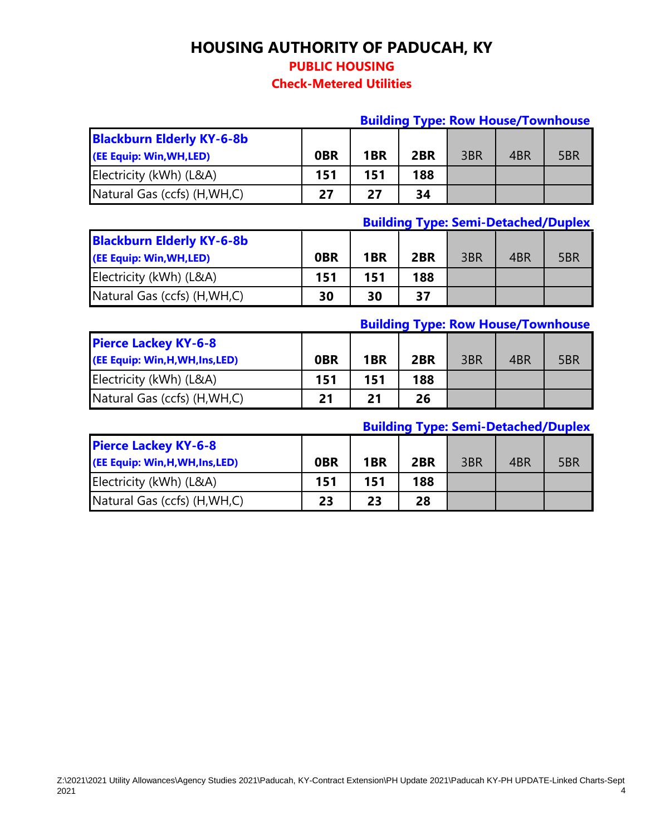### **PUBLIC HOUSING**

### **Check-Metered Utilities**

|                                  | <b>Building Type: Row House/Townhouse</b> |                 |     |     |     |     |
|----------------------------------|-------------------------------------------|-----------------|-----|-----|-----|-----|
| <b>Blackburn Elderly KY-6-8b</b> |                                           |                 |     |     |     |     |
| (EE Equip: Win, WH, LED)         | <b>OBR</b>                                | 1 <sub>BR</sub> | 2BR | 3BR | 4BR | 5BR |
| Electricity (kWh) (L&A)          | 151                                       | 151             | 188 |     |     |     |
| Natural Gas (ccfs) (H, WH, C)    | 27                                        | 27              | 34  |     |     |     |

## **Building Type: Semi-Detached/Duplex**

| <b>Blackburn Elderly KY-6-8b</b><br>(EE Equip: Win, WH, LED) | <b>OBR</b> | 1 <sub>BR</sub> | 2BR | 3BR | 4BR | 5BR |
|--------------------------------------------------------------|------------|-----------------|-----|-----|-----|-----|
| Electricity (kWh) (L&A)                                      | 151        | 151             | 188 |     |     |     |
| Natural Gas (ccfs) (H, WH, C)                                | 30         | 30              | 37  |     |     |     |

### **Building Type: Row House/Townhouse**

| <b>Pierce Lackey KY-6-8</b><br>(EE Equip: Win, H, WH, Ins, LED) | <b>OBR</b> | 1 <sub>BR</sub> | 2BR | 3BR | 4BR | 5BR |
|-----------------------------------------------------------------|------------|-----------------|-----|-----|-----|-----|
| Electricity (kWh) (L&A)                                         | 151        | 151             | 188 |     |     |     |
| Natural Gas (ccfs) (H, WH, C)                                   | 21         | 21              | 26  |     |     |     |

### **Building Type: Semi-Detached/Duplex**

| <b>Pierce Lackey KY-6-8</b>      |            |                 |     |     |     |     |
|----------------------------------|------------|-----------------|-----|-----|-----|-----|
| (EE Equip: Win, H, WH, Ins, LED) | <b>OBR</b> | 1 <sub>BR</sub> | 2BR | 3BR | 4BR | 5BR |
| Electricity (kWh) (L&A)          | 151        | 151             | 188 |     |     |     |
| Natural Gas (ccfs) (H, WH, C)    | 23         | 23              | 28  |     |     |     |